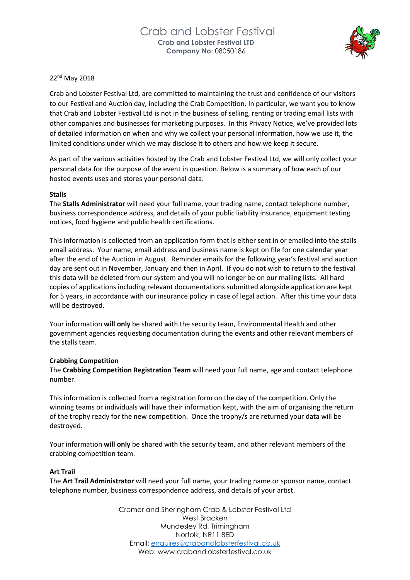

# 22nd May 2018

Crab and Lobster Festival Ltd, are committed to maintaining the trust and confidence of our visitors to our Festival and Auction day, including the Crab Competition. In particular, we want you to know that Crab and Lobster Festival Ltd is not in the business of selling, renting or trading email lists with other companies and businesses for marketing purposes. In this Privacy Notice, we've provided lots of detailed information on when and why we collect your personal information, how we use it, the limited conditions under which we may disclose it to others and how we keep it secure.

As part of the various activities hosted by the Crab and Lobster Festival Ltd, we will only collect your personal data for the purpose of the event in question. Below is a summary of how each of our hosted events uses and stores your personal data.

### **Stalls**

The **Stalls Administrator** will need your full name, your trading name, contact telephone number, business correspondence address, and details of your public liability insurance, equipment testing notices, food hygiene and public health certifications.

This information is collected from an application form that is either sent in or emailed into the stalls email address. Your name, email address and business name is kept on file for one calendar year after the end of the Auction in August. Reminder emails for the following year's festival and auction day are sent out in November, January and then in April. If you do not wish to return to the festival this data will be deleted from our system and you will no longer be on our mailing lists. All hard copies of applications including relevant documentations submitted alongside application are kept for 5 years, in accordance with our insurance policy in case of legal action. After this time your data will be destroyed.

Your information **will only** be shared with the security team, Environmental Health and other government agencies requesting documentation during the events and other relevant members of the stalls team.

### **Crabbing Competition**

The **Crabbing Competition Registration Team** will need your full name, age and contact telephone number.

This information is collected from a registration form on the day of the competition. Only the winning teams or individuals will have their information kept, with the aim of organising the return of the trophy ready for the new competition. Once the trophy/s are returned your data will be destroyed.

Your information **will only** be shared with the security team, and other relevant members of the crabbing competition team.

### **Art Trail**

The **Art Trail Administrator** will need your full name, your trading name or sponsor name, contact telephone number, business correspondence address, and details of your artist.

> Cromer and Sheringham Crab & Lobster Festival Ltd West Bracken Mundesley Rd, Trimingham Norfolk, NR11 8ED Email: [enquires@crabandlobsterfestival.co.uk](mailto:enquires@crabandlobsterfestival.co.uk) Web: [www.crabandlobsterfestival.co.uk](http://www.crabandlobsterfestival.co.uk/)